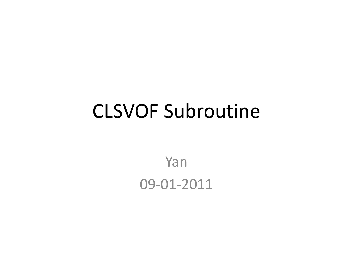### CLSVOF Subroutine

Yan 09-01-2011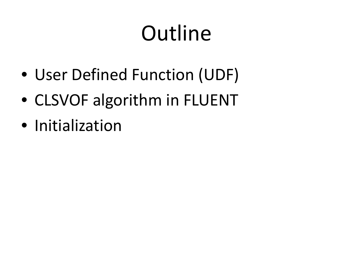# Outline

- User Defined Function (UDF)
- CLSVOF algorithm in FLUENT
- Initialization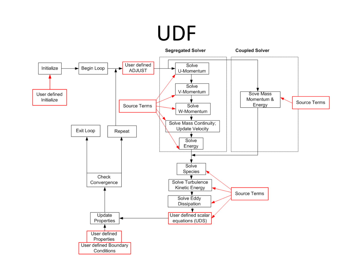### UDF

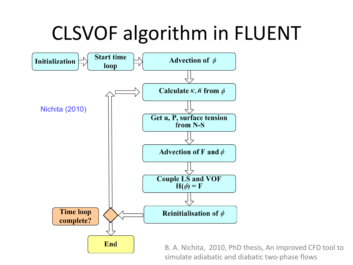### CLSVOF algorithm in FLUENT



B. A. Nichita, 2010, PhD thesis, An improved CFD tool to simulate adiabatic and diabatic two-phase flows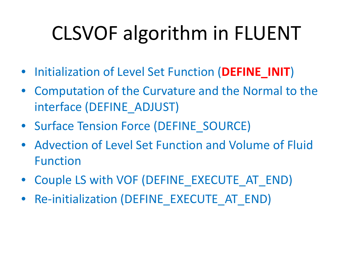# CLSVOF algorithm in FLUENT

- Initialization of Level Set Function (**DEFINE\_INIT**)
- Computation of the Curvature and the Normal to the interface (DEFINE\_ADJUST)
- Surface Tension Force (DEFINE\_SOURCE)
- Advection of Level Set Function and Volume of Fluid Function
- Couple LS with VOF (DEFINE EXECUTE AT END)
- Re-initialization (DEFINE\_EXECUTE\_AT\_END)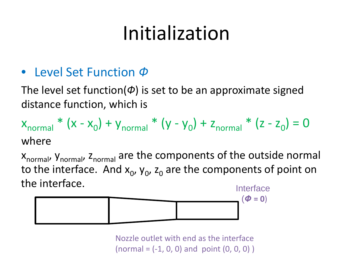#### • Level Set Function *Ф*

The level set function( $\varphi$ ) is set to be an approximate signed distance function, which is

 $x_{normal} * (x - x_0) + y_{normal} * (y - y_0) + z_{normal} * (z - z_0) = 0$ where

X<sub>normal</sub>, y<sub>normal</sub>, z<sub>normal</sub> are the components of the outside normal to the interface. And  $x_0$ ,  $y_0$ ,  $z_0$  are the components of point on the interface. Interface



Nozzle outlet with end as the interface  $(normal = (-1, 0, 0)$  and point  $(0, 0, 0)$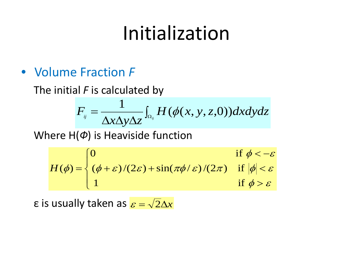• Volume Fraction *F*

The initial *F* is calculated by

$$
F_{ij} = \frac{1}{\Delta x \Delta y \Delta z} \int_{\Omega_{ij}} H(\phi(x, y, z, 0)) dx dy dz
$$

Where H(*Ф*) is Heaviside function

$$
H(\phi) = \begin{cases} 0 & \text{if } \phi < -\varepsilon \\ (\phi + \varepsilon)/(2\varepsilon) + \sin(\pi\phi/\varepsilon)/(2\pi) & \text{if } |\phi| < \varepsilon \\ 1 & \text{if } \phi > \varepsilon \end{cases}
$$

 $\varepsilon$  is usually taken as  $\varepsilon = \sqrt{2} \Delta x$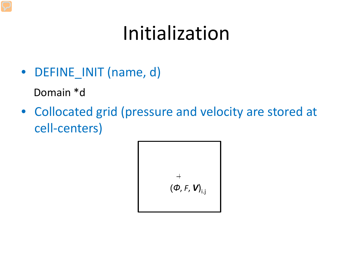- DEFINE\_INIT (name, d) Domain \*d
- Collocated grid (pressure and velocity are stored at cell-centers)

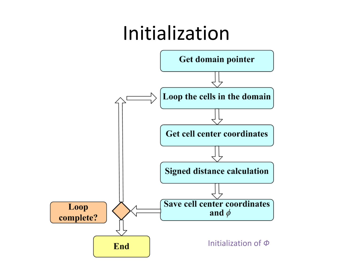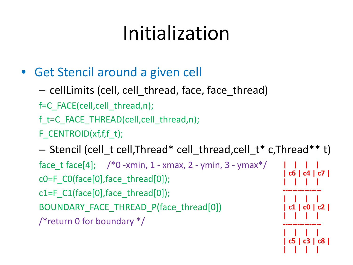- Get Stencil around a given cell
	- cellLimits (cell, cell\_thread, face, face\_thread)
	- f=C\_FACE(cell,cell\_thread,n);
	- f\_t=C\_FACE\_THREAD(cell,cell\_thread,n);
	- F\_CENTROID(xf,f,f\_t);

– Stencil (cell\_t cell,Thread\* cell\_thread,cell\_t\* c,Thread\*\* t) face t face[4]; /\*0 -xmin, 1 - xmax, 2 - ymin, 3 - ymax\*/ c0=F\_C0(face[0],face\_thread[0]); c1=F  $C1$ (face[0], face thread[0]); BOUNDARY FACE THREAD P(face thread[0]) /\*return 0 for boundary \*/ **| | | | | c6 | c4 | c7 | | | | | ---------------- | | | | | c1 | c0 | c2 | | | | | ---------------- | | | |**

**| c5 | c3 | c8 |**

**| | | |**